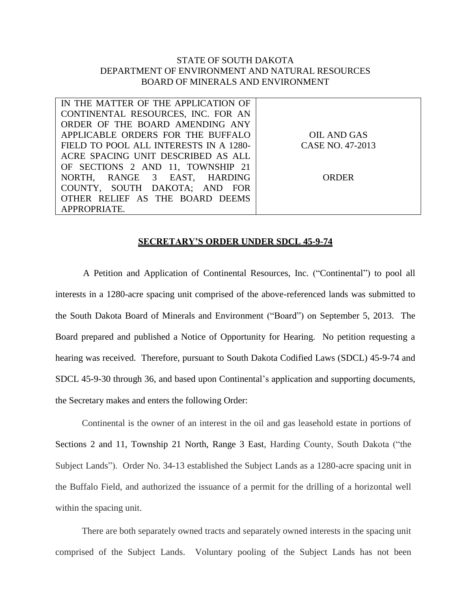## STATE OF SOUTH DAKOTA DEPARTMENT OF ENVIRONMENT AND NATURAL RESOURCES BOARD OF MINERALS AND ENVIRONMENT

| IN THE MATTER OF THE APPLICATION OF    |                  |
|----------------------------------------|------------------|
| CONTINENTAL RESOURCES, INC. FOR AN     |                  |
| ORDER OF THE BOARD AMENDING ANY        |                  |
| APPLICABLE ORDERS FOR THE BUFFALO      | OIL AND GAS      |
| FIELD TO POOL ALL INTERESTS IN A 1280- | CASE NO. 47-2013 |
| ACRE SPACING UNIT DESCRIBED AS ALL     |                  |
| OF SECTIONS 2 AND 11, TOWNSHIP 21      |                  |
| NORTH, RANGE 3 EAST, HARDING           | ORDER            |
| COUNTY, SOUTH DAKOTA; AND FOR          |                  |
| OTHER RELIEF AS THE BOARD DEEMS        |                  |
| APPROPRIATE.                           |                  |

## **SECRETARY'S ORDER UNDER SDCL 45-9-74**

A Petition and Application of Continental Resources, Inc. ("Continental") to pool all interests in a 1280-acre spacing unit comprised of the above-referenced lands was submitted to the South Dakota Board of Minerals and Environment ("Board") on September 5, 2013. The Board prepared and published a Notice of Opportunity for Hearing. No petition requesting a hearing was received. Therefore, pursuant to South Dakota Codified Laws (SDCL) 45-9-74 and SDCL 45-9-30 through 36, and based upon Continental's application and supporting documents, the Secretary makes and enters the following Order:

Continental is the owner of an interest in the oil and gas leasehold estate in portions of Sections 2 and 11, Township 21 North, Range 3 East, Harding County, South Dakota ("the Subject Lands"). Order No. 34-13 established the Subject Lands as a 1280-acre spacing unit in the Buffalo Field, and authorized the issuance of a permit for the drilling of a horizontal well within the spacing unit.

There are both separately owned tracts and separately owned interests in the spacing unit comprised of the Subject Lands. Voluntary pooling of the Subject Lands has not been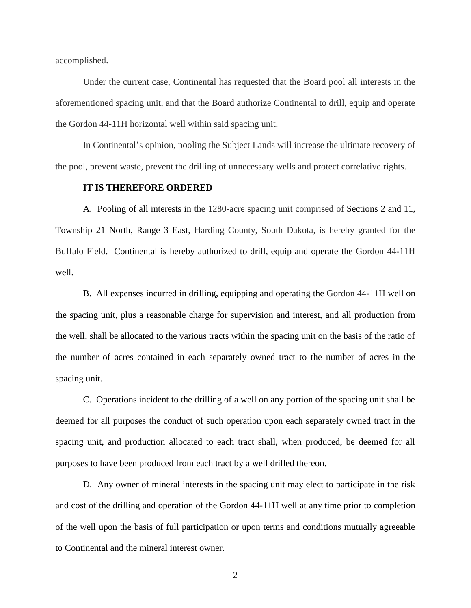accomplished.

Under the current case, Continental has requested that the Board pool all interests in the aforementioned spacing unit, and that the Board authorize Continental to drill, equip and operate the Gordon 44-11H horizontal well within said spacing unit.

In Continental's opinion, pooling the Subject Lands will increase the ultimate recovery of the pool, prevent waste, prevent the drilling of unnecessary wells and protect correlative rights.

## **IT IS THEREFORE ORDERED**

A. Pooling of all interests in the 1280-acre spacing unit comprised of Sections 2 and 11, Township 21 North, Range 3 East, Harding County, South Dakota, is hereby granted for the Buffalo Field. Continental is hereby authorized to drill, equip and operate the Gordon 44-11H well.

B. All expenses incurred in drilling, equipping and operating the Gordon 44-11H well on the spacing unit, plus a reasonable charge for supervision and interest, and all production from the well, shall be allocated to the various tracts within the spacing unit on the basis of the ratio of the number of acres contained in each separately owned tract to the number of acres in the spacing unit.

C. Operations incident to the drilling of a well on any portion of the spacing unit shall be deemed for all purposes the conduct of such operation upon each separately owned tract in the spacing unit, and production allocated to each tract shall, when produced, be deemed for all purposes to have been produced from each tract by a well drilled thereon.

D. Any owner of mineral interests in the spacing unit may elect to participate in the risk and cost of the drilling and operation of the Gordon 44-11H well at any time prior to completion of the well upon the basis of full participation or upon terms and conditions mutually agreeable to Continental and the mineral interest owner.

2